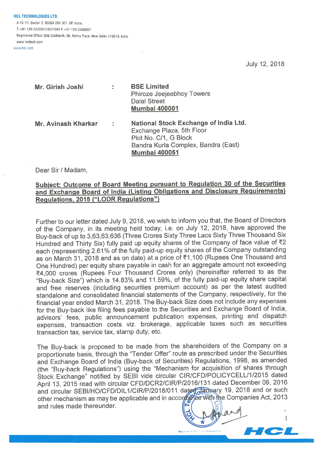**HCL TECHNOLOGIES LTD.** A 10-11, Sector 3, NOIDA 201 301, UP, India.

T +91 120 2520917/937/997 <sup>F</sup> +91 120 2526907

Registered Office: 806 Siddharth, 96, Nehru Place, New Delhi-110019, India. www.hcltech.com

www.hcl.com

July 12, 2018

1

| Mr. Girish Joshi    | ÷          | <b>BSE Limited</b><br>Phiroze Jeejeebhoy Towers<br><b>Dalal Street</b><br><b>Mumbai 400001</b>                                                             |
|---------------------|------------|------------------------------------------------------------------------------------------------------------------------------------------------------------|
| Mr. Avinash Kharkar | $\ddot{ }$ | National Stock Exchange of India Ltd.<br>Exchange Plaza, 5th Floor<br>Plot No. C/1, G Block<br>Bandra Kurla Complex, Bandra (East)<br><b>Mumbai 400051</b> |

Dear Sir / Madam,

## Subiect: Outcome of Board Meeting pursuant to Regulation 30 of the Securities and Exchange Board of India (Listing Obligations and Disclosure Requirements) Regulations, 2015 ("LODR Regulations")

Further to our letter dated July 9, 2018, we wish to inform you that, the Board of Directors of the Company, in its meeting held today, i.e. on July 12, 2018, have approved the Buy-back of up to 3,63,63,636 (Three Crores Sixty Three Lacs Sixty Three Thousand Six Hundred and Thirty Six) fully paid up equity shares of the Company of face value of  $Z$ each (representing 2.61% of the fully paid-up equity shares of the Company outstanding as on March 31, 2018 and as on date) at a price of ₹1,100 (Rupees One Thousand and One Hundred) per equity share payable in cash for an aggregate amount not exceeding ₹4,000 crores (Rupees Four Thousand Crores only) (hereinafter referred to as the "Buy-back Size") which is 14.83% and 11.59%, of the fully paid-up equity share capital and free reserves (including securities premium account) as per the latest audited standalone and consolidated financial statements of the Company, respectively, for the financial year ended March 31, 2018. The Buy-back Size does not include any expenses for the Buy-back like filing fees payable to the Securities and Exchange Board of India, advisors' fees, public announcement publication expenses, printing and dispatch expenses, transaction costs viz, brokerage, applicable taxes such as securities transaction tax, service tax, stamp duty, etc.

The Buy-back is proposed to be made from the shareholders of the Company on a proportionate basis, through the "Tender Offer" route as prescribed under the Securities and Exchange Board of India (Buy-back of Securities) Regulations, 1998, as amended (the "Buy-back Regulations") using the "Mechanism for acquisition of shares through Stock Exchange" notified by SEBI vide circular CIR/CFD/POLICYCELL/1/2015 dated April 13, 2015 read with circular CFD/DCR2/CIRIP/2016/131 dated December 09, 2016 and circular SEBI/HO/CFD/DIL1/CIR/P/2018/011 dated appeary 19, 2018 and or such other mechanism as may be applicable and in accord after with the Companies Act, 2013 and rules made thereunder. n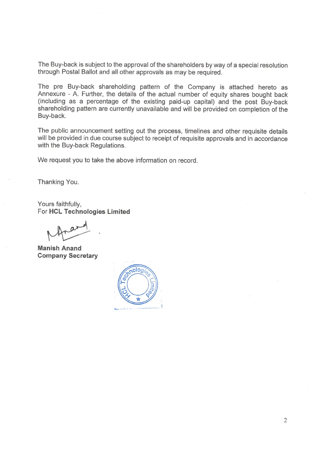The Buy-back is subject to the approval of the shareholders byway of a special resolution through Postal Ballot and all other approvals as may be required.

The pre Buy-back shareholding pattern of the Company is attached hereto as Annexure - A. Further, the details of the actual number of equity shares bought back (including as a percentage of the existing paid-up capital) and the post Buy-back shareholding pattern are currently unavailable and will be provided on completion of the Buy-back.

The public announcement setting out the process, timelines and other requisite details will be provided in due course subject to receipt of requisite approvals and in accordance with the Buy-back Regulations.

We request you to take the above information on record.

Thanking You.

Yours faithfully, For HCL Technologies Limited

Manish Anand Company Secretary